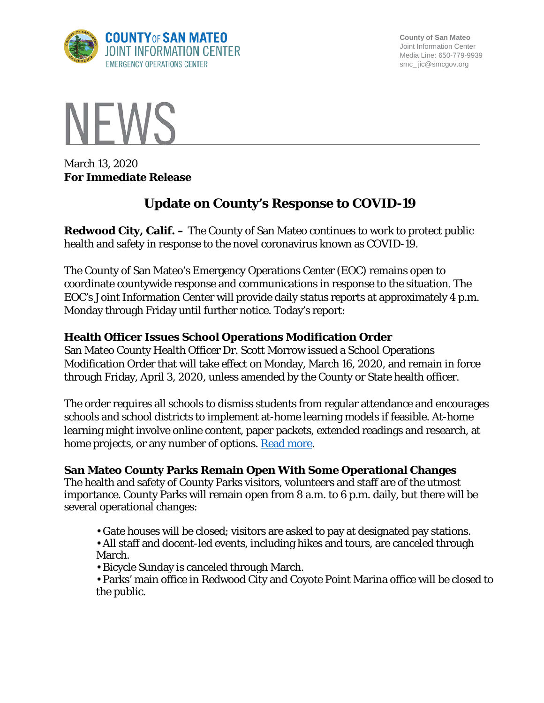

**County of San Mateo** Joint Information Center Media Line: 650-779-9939 smc\_ jic@smcgov.org



March 13, 2020 **For Immediate Release**

# **Update on County's Response to COVID-19**

**Redwood City, Calif. –** The County of San Mateo continues to work to protect public health and safety in response to the novel coronavirus known as COVID-19.

The County of San Mateo's Emergency Operations Center (EOC) remains open to coordinate countywide response and communications in response to the situation. The EOC's Joint Information Center will provide daily status reports at approximately 4 p.m. Monday through Friday until further notice. Today's report:

## **Health Officer Issues School Operations Modification Order**

San Mateo County Health Officer Dr. Scott Morrow issued a School Operations Modification Order that will take effect on Monday, March 16, 2020, and remain in force through Friday, April 3, 2020, unless amended by the County or State health officer.

The order requires all schools to dismiss students from regular attendance and encourages schools and school districts to implement at-home learning models if feasible. At-home learning might involve online content, paper packets, extended readings and research, at home projects, or any number of options. [Read more.](https://cmo.smcgov.org/sites/cmo.smcgov.org/files/School%20Operations%20Modification%20Order%20Press%20Release.pdf)

## **San Mateo County Parks Remain Open With Some Operational Changes**

The health and safety of County Parks visitors, volunteers and staff are of the utmost importance. County Parks will remain open from 8 a.m. to 6 p.m. daily, but there will be several operational changes:

- Gate houses will be closed; visitors are asked to pay at designated pay stations.
- All staff and docent-led events, including hikes and tours, are canceled through March.
- Bicycle Sunday is canceled through March.
- Parks' main office in Redwood City and Coyote Point Marina office will be closed to the public.